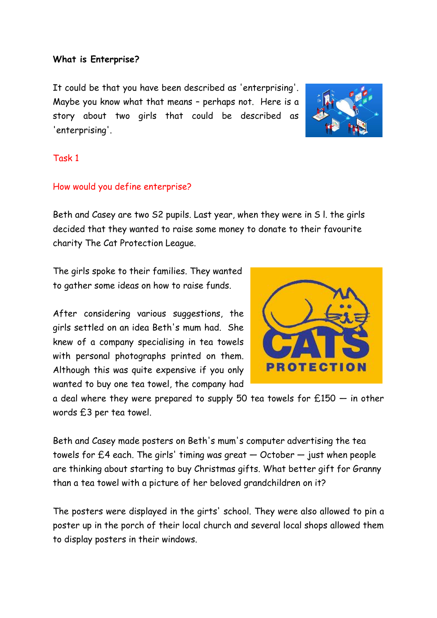#### **What is Enterprise?**

It could be that you have been described as 'enterprising'. Maybe you know what that means – perhaps not. Here is a story about two girls that could be described as 'enterprising'.



### Task 1

## How would you define enterprise?

Beth and Casey are two S2 pupils. Last year, when they were in S l. the girls decided that they wanted to raise some money to donate to their favourite charity The Cat Protection League.

The girls spoke to their families. They wanted to gather some ideas on how to raise funds.

After considering various suggestions, the girls settled on an idea Beth's mum had. She knew of a company specialising in tea towels with personal photographs printed on them. Although this was quite expensive if you only wanted to buy one tea towel, the company had



a deal where they were prepared to supply 50 tea towels for  $£150 - in$  other words £3 per tea towel.

Beth and Casey made posters on Beth's mum's computer advertising the tea towels for  $E4$  each. The girls' timing was great  $-$  October  $-$  just when people are thinking about starting to buy Christmas gifts. What better gift for Granny than a tea towel with a picture of her beloved grandchildren on it?

The posters were displayed in the girts' school. They were also allowed to pin a poster up in the porch of their local church and several local shops allowed them to display posters in their windows.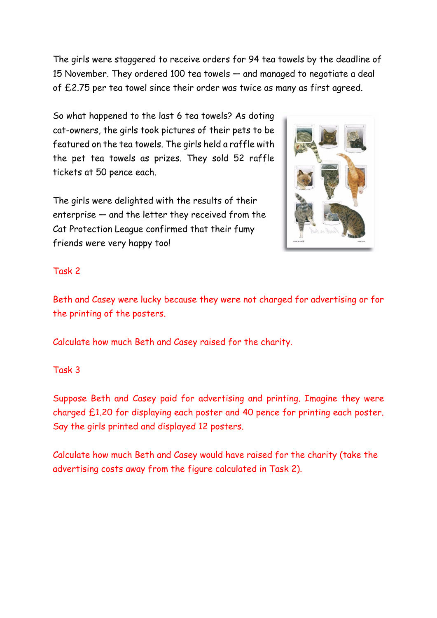The girls were staggered to receive orders for 94 tea towels by the deadline of 15 November. They ordered 100 tea towels — and managed to negotiate a deal of £2.75 per tea towel since their order was twice as many as first agreed.

So what happened to the last 6 tea towels? As doting cat-owners, the girls took pictures of their pets to be featured on the tea towels. The girls held a raffle with the pet tea towels as prizes. They sold 52 raffle tickets at 50 pence each.

The girls were delighted with the results of their enterprise — and the letter they received from the Cat Protection League confirmed that their fumy friends were very happy too!



## Task 2

Beth and Casey were lucky because they were not charged for advertising or for the printing of the posters.

Calculate how much Beth and Casey raised for the charity.

# Task 3

Suppose Beth and Casey paid for advertising and printing. Imagine they were charged £1.20 for displaying each poster and 40 pence for printing each poster. Say the girls printed and displayed 12 posters.

Calculate how much Beth and Casey would have raised for the charity (take the advertising costs away from the figure calculated in Task 2).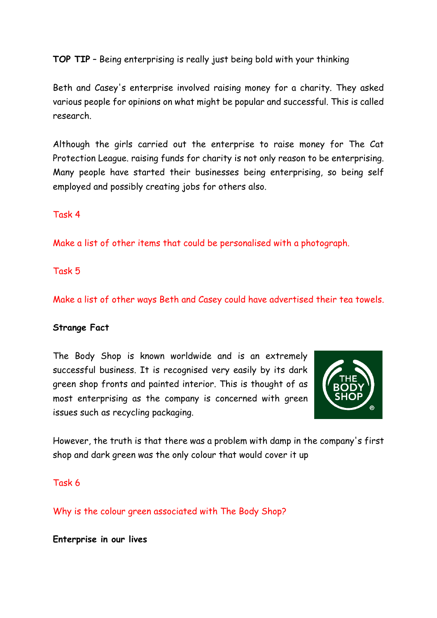**TOP TIP** – Being enterprising is really just being bold with your thinking

Beth and Casey's enterprise involved raising money for a charity. They asked various people for opinions on what might be popular and successful. This is called research.

Although the girls carried out the enterprise to raise money for The Cat Protection League. raising funds for charity is not only reason to be enterprising. Many people have started their businesses being enterprising, so being self employed and possibly creating jobs for others also.

Task 4

Make a list of other items that could be personalised with a photograph.

Task 5

Make a list of other ways Beth and Casey could have advertised their tea towels.

### **Strange Fact**

The Body Shop is known worldwide and is an extremely successful business. It is recognised very easily by its dark green shop fronts and painted interior. This is thought of as most enterprising as the company is concerned with green issues such as recycling packaging.



However, the truth is that there was a problem with damp in the company's first shop and dark green was the only colour that would cover it up

Task 6

Why is the colour green associated with The Body Shop?

**Enterprise in our lives**